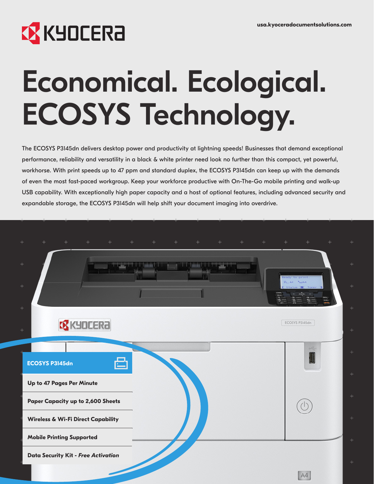

# Economical. Ecological. ECOSYS Technology.

The ECOSYS P3145dn delivers desktop power and productivity at lightning speeds! Businesses that demand exceptional performance, reliability and versatility in a black & white printer need look no further than this compact, yet powerful, workhorse. With print speeds up to 47 ppm and standard duplex, the ECOSYS P3145dn can keep up with the demands of even the most fast-paced workgroup. Keep your workforce productive with On-The-Go mobile printing and walk-up USB capability. With exceptionally high paper capacity and a host of optional features, including advanced security and expandable storage, the ECOSYS P3145dn will help shift your document imaging into overdrive.